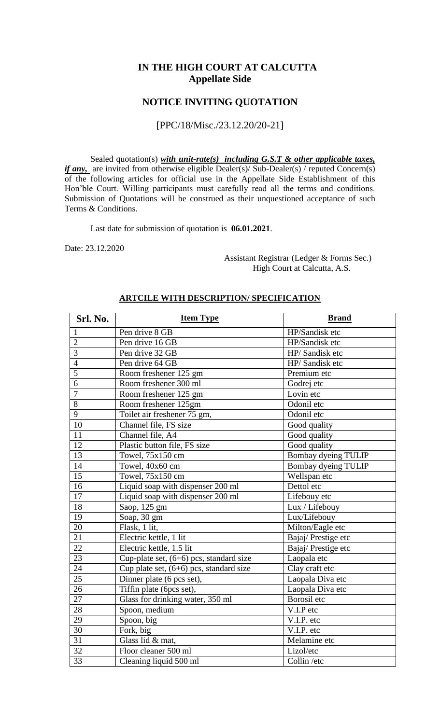### **IN THE HIGH COURT AT CALCUTTA Appellate Side**

### **NOTICE INVITING QUOTATION**

#### [PPC/18/Misc./23.12.20/20-21]

Sealed quotation(s) *with unit-rate(s) including G.S.T & other applicable taxes, if any,* are invited from otherwise eligible Dealer(s)/ Sub-Dealer(s) / reputed Concern(s) of the following articles for official use in the Appellate Side Establishment of this Hon'ble Court. Willing participants must carefully read all the terms and conditions. Submission of Quotations will be construed as their unquestioned acceptance of such Terms & Conditions.

Last date for submission of quotation is **06.01.2021**.

Date: 23.12.2020

 Assistant Registrar (Ledger & Forms Sec.) High Court at Calcutta, A.S.

| Srl. No.        | <b>Item Type</b>                          | <b>Brand</b>        |
|-----------------|-------------------------------------------|---------------------|
| $\mathbf{1}$    | Pen drive 8 GB                            | HP/Sandisk etc      |
| $\overline{2}$  | Pen drive 16 GB                           | HP/Sandisk etc      |
| $\overline{3}$  | Pen drive 32 GB                           | HP/ Sandisk etc     |
| $\overline{4}$  | Pen drive 64 GB                           | HP/Sandisk etc      |
| $\overline{5}$  | Room freshener 125 gm                     | Premium etc         |
| $\overline{6}$  | Room freshener 300 ml                     | Godrej etc          |
| $\overline{7}$  | Room freshener 125 gm                     | Lovin etc           |
| 8               | Room freshener 125gm                      | Odonil etc          |
| 9               | Toilet air freshener 75 gm,               | Odonil etc          |
| $\overline{10}$ | Channel file, FS size                     | Good quality        |
| 11              | Channel file, A4                          | Good quality        |
| 12              | Plastic button file, FS size              | Good quality        |
| 13              | Towel, 75x150 cm                          | Bombay dyeing TULIP |
| 14              | Towel, 40x60 cm                           | Bombay dyeing TULIP |
| 15              | Towel, 75x150 cm                          | Wellspan etc        |
| 16              | Liquid soap with dispenser 200 ml         | Dettol etc          |
| 17              | Liquid soap with dispenser 200 ml         | Lifebouy etc        |
| $\overline{18}$ | Saop, 125 gm                              | Lux / Lifebouy      |
| 19              | Soap, 30 gm                               | Lux/Lifebouy        |
| 20              | Flask, 1 lit,                             | Milton/Eagle etc    |
| 21              | Electric kettle, 1 lit                    | Bajaj/Prestige etc  |
| 22              | Electric kettle, 1.5 lit                  | Bajaj/Prestige etc  |
| $\overline{23}$ | Cup-plate set, $(6+6)$ pcs, standard size | Laopala etc         |
| 24              | Cup plate set, $(6+6)$ pcs, standard size | Clay craft etc      |
| 25              | Dinner plate (6 pcs set),                 | Laopala Diva etc    |
| 26              | Tiffin plate (6pcs set),                  | Laopala Diva etc    |
| 27              | Glass for drinking water, 350 ml          | Borosil etc         |
| 28              | Spoon, medium                             | V.I.P etc           |
| 29              | Spoon, big                                | V.I.P. etc          |
| $\overline{30}$ | Fork, big                                 | V.I.P. etc          |
| $\overline{31}$ | Glass lid & mat,                          | Melamine etc        |
| $\overline{32}$ | Floor cleaner 500 ml                      | Lizol/etc           |
| 33              | Cleaning liquid 500 ml                    | Collin /etc         |

#### **ARTCILE WITH DESCRIPTION/ SPECIFICATION**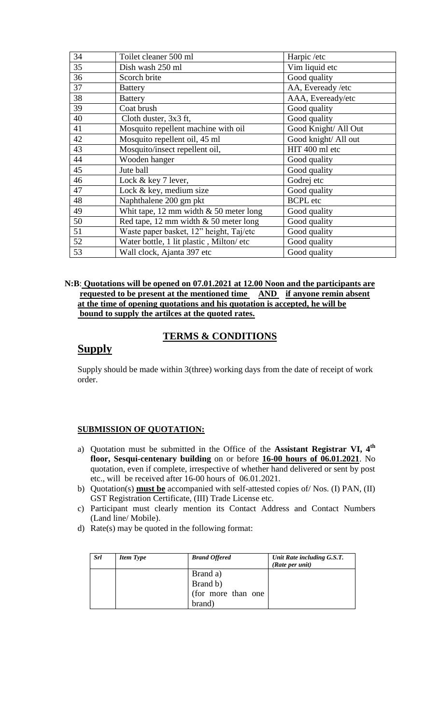| 34 | Toilet cleaner 500 ml                    | Harpic /etc          |  |
|----|------------------------------------------|----------------------|--|
| 35 | Dish wash 250 ml                         | Vim liquid etc       |  |
| 36 | Scorch brite                             | Good quality         |  |
| 37 | <b>Battery</b>                           | AA, Eveready /etc    |  |
| 38 | <b>Battery</b>                           | AAA, Eveready/etc    |  |
| 39 | Good quality<br>Coat brush               |                      |  |
| 40 | Cloth duster, 3x3 ft,                    | Good quality         |  |
| 41 | Mosquito repellent machine with oil      | Good Knight/ All Out |  |
| 42 | Mosquito repellent oil, 45 ml            | Good knight/ All out |  |
| 43 | Mosquito/insect repellent oil,           | HIT 400 ml etc       |  |
| 44 | Wooden hanger                            | Good quality         |  |
| 45 | Jute ball                                | Good quality         |  |
| 46 | Lock & key 7 lever,                      | Godrej etc           |  |
| 47 | Lock & key, medium size                  | Good quality         |  |
| 48 | Naphthalene 200 gm pkt                   | <b>BCPL</b> etc      |  |
| 49 | Whit tape, 12 mm width $&$ 50 meter long | Good quality         |  |
| 50 | Red tape, 12 mm width $& 50$ meter long  | Good quality         |  |
| 51 | Waste paper basket, 12" height, Taj/etc  | Good quality         |  |
| 52 | Water bottle, 1 lit plastic, Milton/ etc | Good quality         |  |
| 53 | Wall clock, Ajanta 397 etc               | Good quality         |  |

#### **N:B**: **Quotations will be opened on 07.01.2021 at 12.00 Noon and the participants are requested to be present at the mentioned time** AND if anyone remin absent  **at the time of opening quotations and his quotation is accepted, he will be bound to supply the artilces at the quoted rates.**

### **TERMS & CONDITIONS**

# **Supply**

Supply should be made within 3(three) working days from the date of receipt of work order.

### **SUBMISSION OF QUOTATION:**

- a) Quotation must be submitted in the Office of the **Assistant Registrar VI, 4th floor, Sesqui-centenary building** on or before **16-00 hours of 06.01.2021**. No quotation, even if complete, irrespective of whether hand delivered or sent by post etc., will be received after 16-00 hours of 06.01.2021.
- b) Quotation(s) **must be** accompanied with self-attested copies of/ Nos. (I) PAN, (II) GST Registration Certificate, (III) Trade License etc.
- c) Participant must clearly mention its Contact Address and Contact Numbers (Land line/ Mobile).
- d) Rate(s) may be quoted in the following format:

| <b>Srl</b> | <b>Item Type</b> | <b>Brand Offered</b> | Unit Rate including G.S.T.<br>(Rate per unit) |
|------------|------------------|----------------------|-----------------------------------------------|
|            |                  | Brand a)             |                                               |
|            |                  | Brand b)             |                                               |
|            |                  | (for more than one   |                                               |
|            |                  | brand)               |                                               |